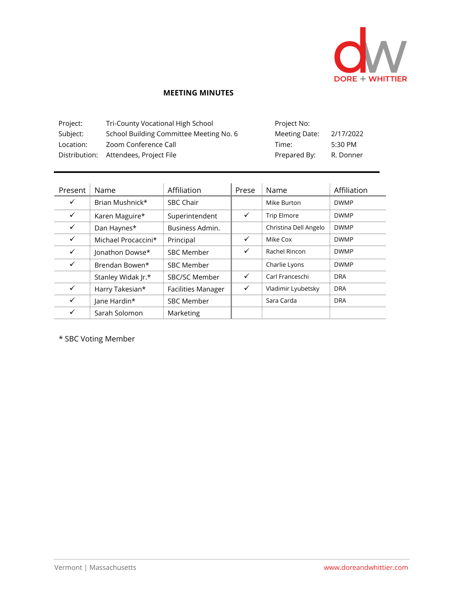

## **MEETING MINUTES**

| Project:  | Tri-County Vocational High School       | Project No:   |           |
|-----------|-----------------------------------------|---------------|-----------|
| Subject:  | School Building Committee Meeting No. 6 | Meeting Date: | 2/17/2022 |
| Location: | Zoom Conference Call                    | Time:         | 5:30 PM   |
|           | Distribution: Attendees, Project File   | Prepared By:  | R. Donner |

| Present      | Name                | Affiliation               | Prese        | Name                  | Affiliation |
|--------------|---------------------|---------------------------|--------------|-----------------------|-------------|
| $\checkmark$ | Brian Mushnick*     | <b>SBC Chair</b>          |              | Mike Burton           | <b>DWMP</b> |
| $\checkmark$ | Karen Maguire*      | Superintendent            | $\checkmark$ | <b>Trip Elmore</b>    | <b>DWMP</b> |
| $\checkmark$ | Dan Haynes*         | Business Admin.           |              | Christina Dell Angelo | <b>DWMP</b> |
| $\checkmark$ | Michael Procaccini* | Principal                 | ✓            | Mike Cox              | <b>DWMP</b> |
| ✓            | Jonathon Dowse*     | <b>SBC Member</b>         | ✓            | Rachel Rincon         | <b>DWMP</b> |
| $\checkmark$ | Brendan Bowen*      | <b>SBC Member</b>         |              | Charlie Lyons         | <b>DWMP</b> |
|              | Stanley Widak Jr.*  | SBC/SC Member             | $\checkmark$ | Carl Franceschi       | <b>DRA</b>  |
| $\checkmark$ | Harry Takesian*     | <b>Facilities Manager</b> | ✓            | Vladimir Lyubetsky    | <b>DRA</b>  |
| ✓            | Jane Hardin*        | <b>SBC Member</b>         |              | Sara Carda            | <b>DRA</b>  |
| ✓            | Sarah Solomon       | Marketing                 |              |                       |             |

\* SBC Voting Member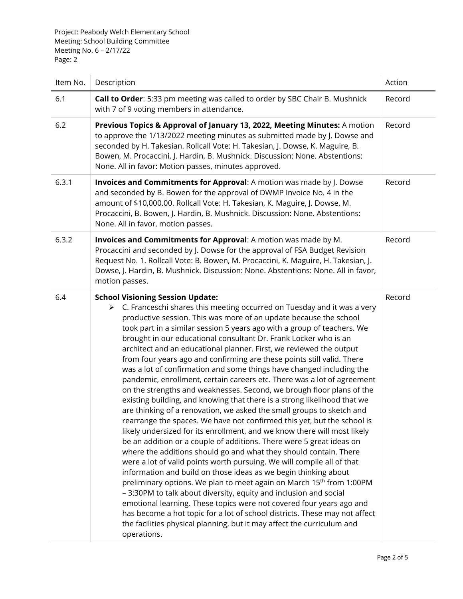Project: Peabody Welch Elementary School Meeting: School Building Committee Meeting No. 6 – 2/17/22 Page: 2

| Item No. | Description                                                                                                                                                                                                                                                                                                                                                                                                                                                                                                                                                                                                                                                                                                                                                                                                                                                                                                                                                                                                                                                                                                                                                                                                                                                                                                                                                                                                                                                                                                                                                                                                                                                                                                                            | Action |
|----------|----------------------------------------------------------------------------------------------------------------------------------------------------------------------------------------------------------------------------------------------------------------------------------------------------------------------------------------------------------------------------------------------------------------------------------------------------------------------------------------------------------------------------------------------------------------------------------------------------------------------------------------------------------------------------------------------------------------------------------------------------------------------------------------------------------------------------------------------------------------------------------------------------------------------------------------------------------------------------------------------------------------------------------------------------------------------------------------------------------------------------------------------------------------------------------------------------------------------------------------------------------------------------------------------------------------------------------------------------------------------------------------------------------------------------------------------------------------------------------------------------------------------------------------------------------------------------------------------------------------------------------------------------------------------------------------------------------------------------------------|--------|
| 6.1      | Call to Order: 5:33 pm meeting was called to order by SBC Chair B. Mushnick<br>with 7 of 9 voting members in attendance.                                                                                                                                                                                                                                                                                                                                                                                                                                                                                                                                                                                                                                                                                                                                                                                                                                                                                                                                                                                                                                                                                                                                                                                                                                                                                                                                                                                                                                                                                                                                                                                                               | Record |
| 6.2      | Previous Topics & Approval of January 13, 2022, Meeting Minutes: A motion<br>to approve the 1/13/2022 meeting minutes as submitted made by J. Dowse and<br>seconded by H. Takesian. Rollcall Vote: H. Takesian, J. Dowse, K. Maguire, B.<br>Bowen, M. Procaccini, J. Hardin, B. Mushnick. Discussion: None. Abstentions:<br>None. All in favor: Motion passes, minutes approved.                                                                                                                                                                                                                                                                                                                                                                                                                                                                                                                                                                                                                                                                                                                                                                                                                                                                                                                                                                                                                                                                                                                                                                                                                                                                                                                                                       | Record |
| 6.3.1    | Invoices and Commitments for Approval: A motion was made by J. Dowse<br>and seconded by B. Bowen for the approval of DWMP Invoice No. 4 in the<br>amount of \$10,000.00. Rollcall Vote: H. Takesian, K. Maguire, J. Dowse, M.<br>Procaccini, B. Bowen, J. Hardin, B. Mushnick. Discussion: None. Abstentions:<br>None. All in favor, motion passes.                                                                                                                                                                                                                                                                                                                                                                                                                                                                                                                                                                                                                                                                                                                                                                                                                                                                                                                                                                                                                                                                                                                                                                                                                                                                                                                                                                                    | Record |
| 6.3.2    | Invoices and Commitments for Approval: A motion was made by M.<br>Procaccini and seconded by J. Dowse for the approval of FSA Budget Revision<br>Request No. 1. Rollcall Vote: B. Bowen, M. Procaccini, K. Maguire, H. Takesian, J.<br>Dowse, J. Hardin, B. Mushnick. Discussion: None. Abstentions: None. All in favor,<br>motion passes.                                                                                                                                                                                                                                                                                                                                                                                                                                                                                                                                                                                                                                                                                                                                                                                                                                                                                                                                                                                                                                                                                                                                                                                                                                                                                                                                                                                             | Record |
| 6.4      | <b>School Visioning Session Update:</b><br>$\triangleright$ C. Franceschi shares this meeting occurred on Tuesday and it was a very<br>productive session. This was more of an update because the school<br>took part in a similar session 5 years ago with a group of teachers. We<br>brought in our educational consultant Dr. Frank Locker who is an<br>architect and an educational planner. First, we reviewed the output<br>from four years ago and confirming are these points still valid. There<br>was a lot of confirmation and some things have changed including the<br>pandemic, enrollment, certain careers etc. There was a lot of agreement<br>on the strengths and weaknesses. Second, we brough floor plans of the<br>existing building, and knowing that there is a strong likelihood that we<br>are thinking of a renovation, we asked the small groups to sketch and<br>rearrange the spaces. We have not confirmed this yet, but the school is<br>likely undersized for its enrollment, and we know there will most likely<br>be an addition or a couple of additions. There were 5 great ideas on<br>where the additions should go and what they should contain. There<br>were a lot of valid points worth pursuing. We will compile all of that<br>information and build on those ideas as we begin thinking about<br>preliminary options. We plan to meet again on March 15th from 1:00PM<br>- 3:30PM to talk about diversity, equity and inclusion and social<br>emotional learning. These topics were not covered four years ago and<br>has become a hot topic for a lot of school districts. These may not affect<br>the facilities physical planning, but it may affect the curriculum and<br>operations. | Record |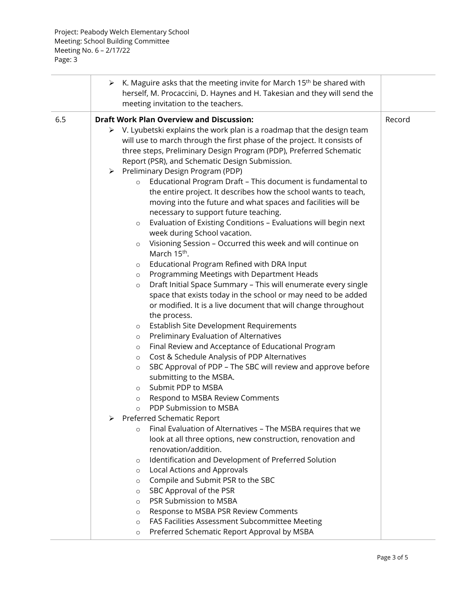| <b>Draft Work Plan Overview and Discussion:</b><br>6.5<br>Record<br>$\triangleright$ V. Lyubetski explains the work plan is a roadmap that the design team<br>will use to march through the first phase of the project. It consists of                                                                                                                                                                                                                                                                                                                                                                                                                                                                                                                                                                                                                                                                                                                                                                                                                                                                                                                                                                                                                                                                                                                                                                                                                                                                                                                                                                                                                                                                                                                                                                                                                                                                                                 | K. Maguire asks that the meeting invite for March 15 <sup>th</sup> be shared with<br>➤<br>herself, M. Procaccini, D. Haynes and H. Takesian and they will send the<br>meeting invitation to the teachers. |  |
|----------------------------------------------------------------------------------------------------------------------------------------------------------------------------------------------------------------------------------------------------------------------------------------------------------------------------------------------------------------------------------------------------------------------------------------------------------------------------------------------------------------------------------------------------------------------------------------------------------------------------------------------------------------------------------------------------------------------------------------------------------------------------------------------------------------------------------------------------------------------------------------------------------------------------------------------------------------------------------------------------------------------------------------------------------------------------------------------------------------------------------------------------------------------------------------------------------------------------------------------------------------------------------------------------------------------------------------------------------------------------------------------------------------------------------------------------------------------------------------------------------------------------------------------------------------------------------------------------------------------------------------------------------------------------------------------------------------------------------------------------------------------------------------------------------------------------------------------------------------------------------------------------------------------------------------|-----------------------------------------------------------------------------------------------------------------------------------------------------------------------------------------------------------|--|
| three steps, Preliminary Design Program (PDP), Preferred Schematic<br>Report (PSR), and Schematic Design Submission.                                                                                                                                                                                                                                                                                                                                                                                                                                                                                                                                                                                                                                                                                                                                                                                                                                                                                                                                                                                                                                                                                                                                                                                                                                                                                                                                                                                                                                                                                                                                                                                                                                                                                                                                                                                                                   |                                                                                                                                                                                                           |  |
| > Preliminary Design Program (PDP)<br>Educational Program Draft - This document is fundamental to<br>$\circ$<br>the entire project. It describes how the school wants to teach,<br>moving into the future and what spaces and facilities will be<br>necessary to support future teaching.<br>Evaluation of Existing Conditions - Evaluations will begin next<br>$\circ$<br>week during School vacation.<br>Visioning Session - Occurred this week and will continue on<br>$\circ$<br>March 15 <sup>th</sup> .<br>Educational Program Refined with DRA Input<br>$\circ$<br>Programming Meetings with Department Heads<br>$\circ$<br>Draft Initial Space Summary - This will enumerate every single<br>$\circ$<br>space that exists today in the school or may need to be added<br>or modified. It is a live document that will change throughout<br>the process.<br>Establish Site Development Requirements<br>$\circ$<br>Preliminary Evaluation of Alternatives<br>$\circ$<br>Final Review and Acceptance of Educational Program<br>$\circ$<br>Cost & Schedule Analysis of PDP Alternatives<br>$\circ$<br>SBC Approval of PDP - The SBC will review and approve before<br>$\circ$<br>submitting to the MSBA.<br>Submit PDP to MSBA<br>$\circ$<br>Respond to MSBA Review Comments<br>$\circ$<br>PDP Submission to MSBA<br>$\circ$<br>Preferred Schematic Report<br>Final Evaluation of Alternatives - The MSBA requires that we<br>$\circ$<br>look at all three options, new construction, renovation and<br>renovation/addition.<br>Identification and Development of Preferred Solution<br>$\circ$<br>Local Actions and Approvals<br>$\circ$<br>Compile and Submit PSR to the SBC<br>O<br>SBC Approval of the PSR<br>$\circ$<br>PSR Submission to MSBA<br>$\circ$<br>Response to MSBA PSR Review Comments<br>O<br>FAS Facilities Assessment Subcommittee Meeting<br>$\circ$<br>Preferred Schematic Report Approval by MSBA<br>$\circ$ |                                                                                                                                                                                                           |  |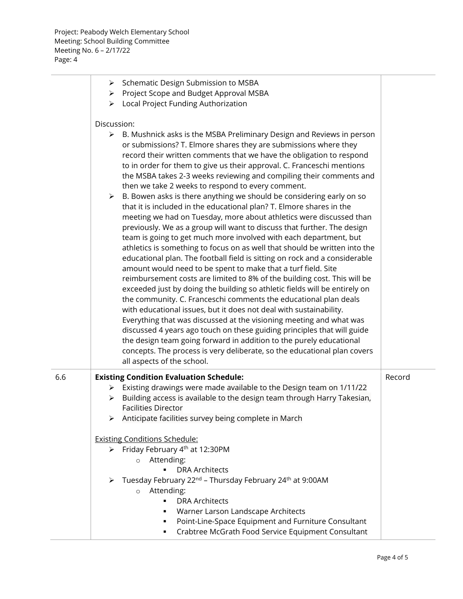|     | > Schematic Design Submission to MSBA<br>> Project Scope and Budget Approval MSBA<br>> Local Project Funding Authorization                                                                                                                                                                                                                                                                                                                                                                                                                                                                                                                                                                                                                                                                                                                                                                                                                                                                                                                                                                                                                                                                                                                                       |        |
|-----|------------------------------------------------------------------------------------------------------------------------------------------------------------------------------------------------------------------------------------------------------------------------------------------------------------------------------------------------------------------------------------------------------------------------------------------------------------------------------------------------------------------------------------------------------------------------------------------------------------------------------------------------------------------------------------------------------------------------------------------------------------------------------------------------------------------------------------------------------------------------------------------------------------------------------------------------------------------------------------------------------------------------------------------------------------------------------------------------------------------------------------------------------------------------------------------------------------------------------------------------------------------|--------|
|     | Discussion:                                                                                                                                                                                                                                                                                                                                                                                                                                                                                                                                                                                                                                                                                                                                                                                                                                                                                                                                                                                                                                                                                                                                                                                                                                                      |        |
|     | B. Mushnick asks is the MSBA Preliminary Design and Reviews in person<br>➤<br>or submissions? T. Elmore shares they are submissions where they<br>record their written comments that we have the obligation to respond<br>to in order for them to give us their approval. C. Franceschi mentions<br>the MSBA takes 2-3 weeks reviewing and compiling their comments and<br>then we take 2 weeks to respond to every comment.                                                                                                                                                                                                                                                                                                                                                                                                                                                                                                                                                                                                                                                                                                                                                                                                                                     |        |
|     | B. Bowen asks is there anything we should be considering early on so<br>$\blacktriangleright$<br>that it is included in the educational plan? T. Elmore shares in the<br>meeting we had on Tuesday, more about athletics were discussed than<br>previously. We as a group will want to discuss that further. The design<br>team is going to get much more involved with each department, but<br>athletics is something to focus on as well that should be written into the<br>educational plan. The football field is sitting on rock and a considerable<br>amount would need to be spent to make that a turf field. Site<br>reimbursement costs are limited to 8% of the building cost. This will be<br>exceeded just by doing the building so athletic fields will be entirely on<br>the community. C. Franceschi comments the educational plan deals<br>with educational issues, but it does not deal with sustainability.<br>Everything that was discussed at the visioning meeting and what was<br>discussed 4 years ago touch on these guiding principles that will guide<br>the design team going forward in addition to the purely educational<br>concepts. The process is very deliberate, so the educational plan covers<br>all aspects of the school. |        |
| 6.6 | <b>Existing Condition Evaluation Schedule:</b><br>> Existing drawings were made available to the Design team on 1/11/22<br>Building access is available to the design team through Harry Takesian,<br><b>Facilities Director</b><br>Anticipate facilities survey being complete in March<br>➤                                                                                                                                                                                                                                                                                                                                                                                                                                                                                                                                                                                                                                                                                                                                                                                                                                                                                                                                                                    | Record |
|     | <b>Existing Conditions Schedule:</b>                                                                                                                                                                                                                                                                                                                                                                                                                                                                                                                                                                                                                                                                                                                                                                                                                                                                                                                                                                                                                                                                                                                                                                                                                             |        |
|     | > Friday February 4 <sup>th</sup> at 12:30PM<br>o Attending:<br><b>DRA Architects</b>                                                                                                                                                                                                                                                                                                                                                                                                                                                                                                                                                                                                                                                                                                                                                                                                                                                                                                                                                                                                                                                                                                                                                                            |        |
|     | > Tuesday February 22 <sup>nd</sup> - Thursday February 24 <sup>th</sup> at 9:00AM<br>o Attending:<br>$\blacksquare$<br><b>DRA Architects</b><br>Warner Larson Landscape Architects<br>Point-Line-Space Equipment and Furniture Consultant<br>٠<br>Crabtree McGrath Food Service Equipment Consultant<br>٠                                                                                                                                                                                                                                                                                                                                                                                                                                                                                                                                                                                                                                                                                                                                                                                                                                                                                                                                                       |        |